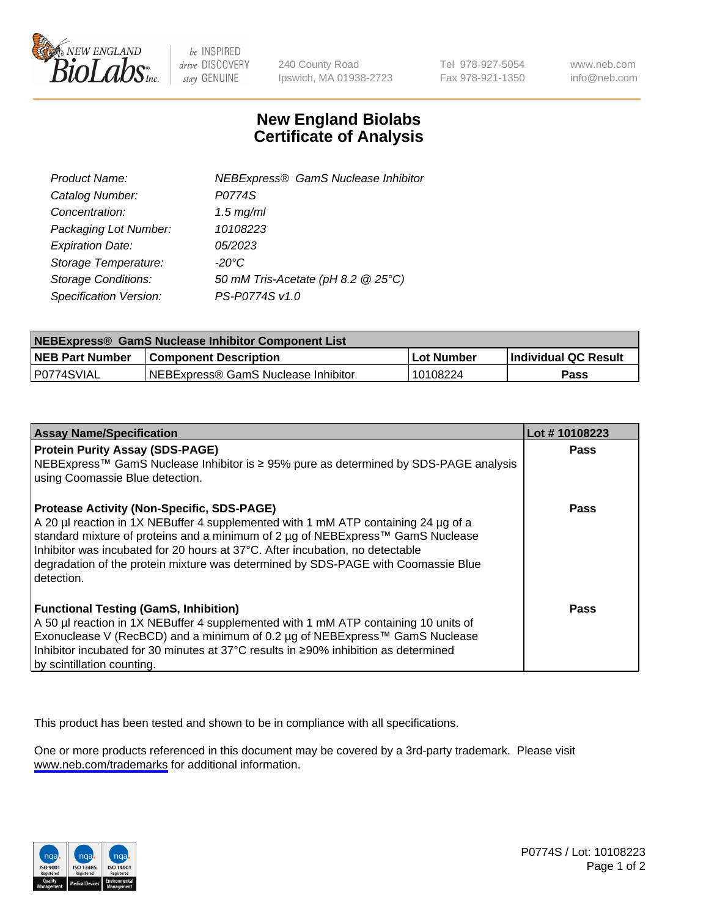

be INSPIRED drive DISCOVERY stay GENUINE

240 County Road Ipswich, MA 01938-2723 Tel 978-927-5054 Fax 978-921-1350

www.neb.com info@neb.com

## **New England Biolabs Certificate of Analysis**

| <b>NEBExpress® GamS Nuclease Inhibitor</b> |
|--------------------------------------------|
| P0774S                                     |
| $1.5$ mg/ml                                |
| 10108223                                   |
| 05/2023                                    |
| $-20^{\circ}$ C                            |
| 50 mM Tris-Acetate (pH 8.2 @ 25°C)         |
| PS-P0774S v1.0                             |
|                                            |

| NEBExpress® GamS Nuclease Inhibitor Component List |                                      |            |                      |  |
|----------------------------------------------------|--------------------------------------|------------|----------------------|--|
| <b>NEB Part Number</b>                             | <b>Component Description</b>         | Lot Number | Individual QC Result |  |
| IP0774SVIAL                                        | INEBExpress® GamS Nuclease Inhibitor | 10108224   | Pass                 |  |

| <b>Assay Name/Specification</b>                                                                                                                                    | Lot #10108223 |
|--------------------------------------------------------------------------------------------------------------------------------------------------------------------|---------------|
| <b>Protein Purity Assay (SDS-PAGE)</b>                                                                                                                             | <b>Pass</b>   |
| NEBExpress™ GamS Nuclease Inhibitor is ≥ 95% pure as determined by SDS-PAGE analysis                                                                               |               |
| using Coomassie Blue detection.                                                                                                                                    |               |
| <b>Protease Activity (Non-Specific, SDS-PAGE)</b>                                                                                                                  | Pass          |
| A 20 µl reaction in 1X NEBuffer 4 supplemented with 1 mM ATP containing 24 µg of a                                                                                 |               |
| standard mixture of proteins and a minimum of 2 µg of NEBExpress™ GamS Nuclease                                                                                    |               |
| Inhibitor was incubated for 20 hours at 37°C. After incubation, no detectable<br>degradation of the protein mixture was determined by SDS-PAGE with Coomassie Blue |               |
| l detection.                                                                                                                                                       |               |
|                                                                                                                                                                    |               |
| <b>Functional Testing (GamS, Inhibition)</b>                                                                                                                       | Pass          |
| A 50 µl reaction in 1X NEBuffer 4 supplemented with 1 mM ATP containing 10 units of                                                                                |               |
| Exonuclease V (RecBCD) and a minimum of 0.2 µg of NEBExpress™ GamS Nuclease                                                                                        |               |
| Inhibitor incubated for 30 minutes at 37°C results in ≥90% inhibition as determined                                                                                |               |
| by scintillation counting.                                                                                                                                         |               |

This product has been tested and shown to be in compliance with all specifications.

One or more products referenced in this document may be covered by a 3rd-party trademark. Please visit <www.neb.com/trademarks>for additional information.